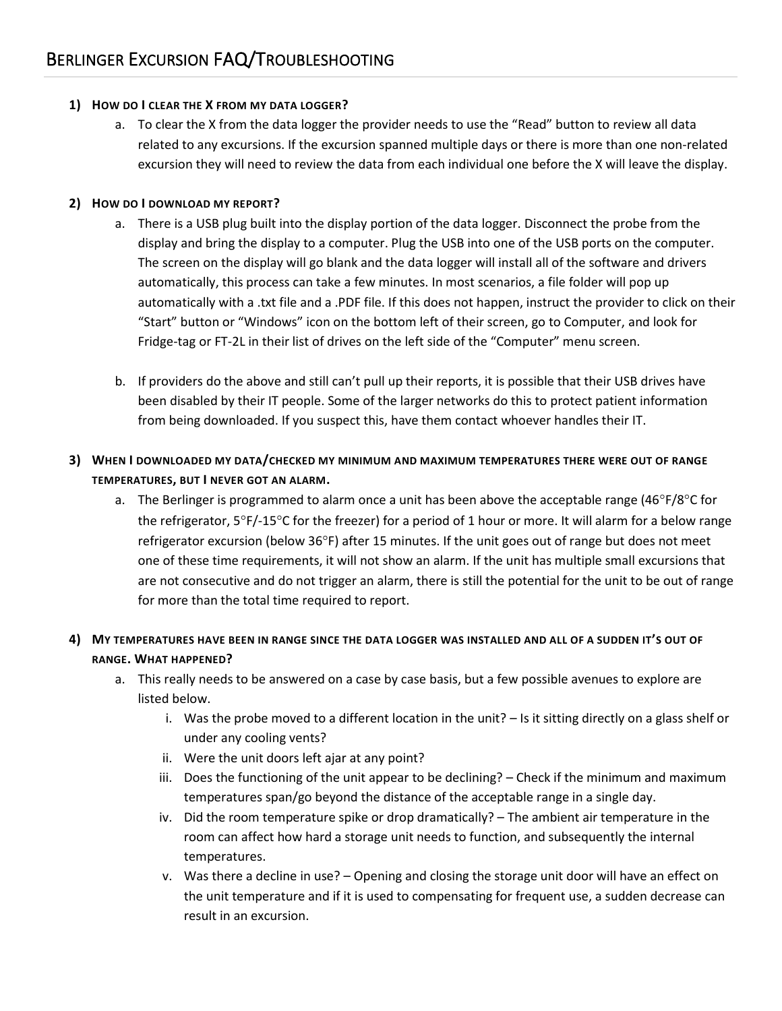#### **1) HOW DO I CLEAR THE X FROM MY DATA LOGGER?**

a. To clear the X from the data logger the provider needs to use the "Read" button to review all data related to any excursions. If the excursion spanned multiple days or there is more than one non-related excursion they will need to review the data from each individual one before the X will leave the display.

### **2) HOW DO I DOWNLOAD MY REPORT?**

- a. There is a USB plug built into the display portion of the data logger. Disconnect the probe from the display and bring the display to a computer. Plug the USB into one of the USB ports on the computer. The screen on the display will go blank and the data logger will install all of the software and drivers automatically, this process can take a few minutes. In most scenarios, a file folder will pop up automatically with a .txt file and a .PDF file. If this does not happen, instruct the provider to click on their "Start" button or "Windows" icon on the bottom left of their screen, go to Computer, and look for Fridge-tag or FT-2L in their list of drives on the left side of the "Computer" menu screen.
- b. If providers do the above and still can't pull up their reports, it is possible that their USB drives have been disabled by their IT people. Some of the larger networks do this to protect patient information from being downloaded. If you suspect this, have them contact whoever handles their IT.

## **3) WHEN I DOWNLOADED MY DATA/CHECKED MY MINIMUM AND MAXIMUM TEMPERATURES THERE WERE OUT OF RANGE TEMPERATURES, BUT I NEVER GOT AN ALARM.**

a. The Berlinger is programmed to alarm once a unit has been above the acceptable range (46°F/8°C for the refrigerator,  $5^{\circ}F/15^{\circ}C$  for the freezer) for a period of 1 hour or more. It will alarm for a below range refrigerator excursion (below  $36^{\circ}$ F) after 15 minutes. If the unit goes out of range but does not meet one of these time requirements, it will not show an alarm. If the unit has multiple small excursions that are not consecutive and do not trigger an alarm, there is still the potential for the unit to be out of range for more than the total time required to report.

### **4) MY TEMPERATURES HAVE BEEN IN RANGE SINCE THE DATA LOGGER WAS INSTALLED AND ALL OF A SUDDEN IT'S OUT OF RANGE. WHAT HAPPENED?**

- a. This really needs to be answered on a case by case basis, but a few possible avenues to explore are listed below.
	- i. Was the probe moved to a different location in the unit?  $-$  Is it sitting directly on a glass shelf or under any cooling vents?
	- ii. Were the unit doors left ajar at any point?
	- iii. Does the functioning of the unit appear to be declining? Check if the minimum and maximum temperatures span/go beyond the distance of the acceptable range in a single day.
	- iv. Did the room temperature spike or drop dramatically? The ambient air temperature in the room can affect how hard a storage unit needs to function, and subsequently the internal temperatures.
	- v. Was there a decline in use? Opening and closing the storage unit door will have an effect on the unit temperature and if it is used to compensating for frequent use, a sudden decrease can result in an excursion.